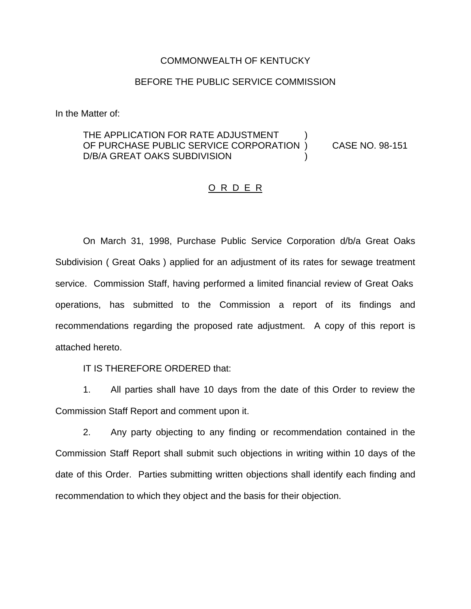#### COMMONWEALTH OF KENTUCKY

### BEFORE THE PUBLIC SERVICE COMMISSION

In the Matter of:

## THE APPLICATION FOR RATE ADJUSTMENT OF PURCHASE PUBLIC SERVICE CORPORATION ) CASE NO. 98-151 D/B/A GREAT OAKS SUBDIVISION

### O R D E R

On March 31, 1998, Purchase Public Service Corporation d/b/a Great Oaks Subdivision ( Great Oaks ) applied for an adjustment of its rates for sewage treatment service. Commission Staff, having performed a limited financial review of Great Oaks operations, has submitted to the Commission a report of its findings and recommendations regarding the proposed rate adjustment. A copy of this report is attached hereto.

IT IS THEREFORE ORDERED that:

1. All parties shall have 10 days from the date of this Order to review the Commission Staff Report and comment upon it.

2. Any party objecting to any finding or recommendation contained in the Commission Staff Report shall submit such objections in writing within 10 days of the date of this Order. Parties submitting written objections shall identify each finding and recommendation to which they object and the basis for their objection.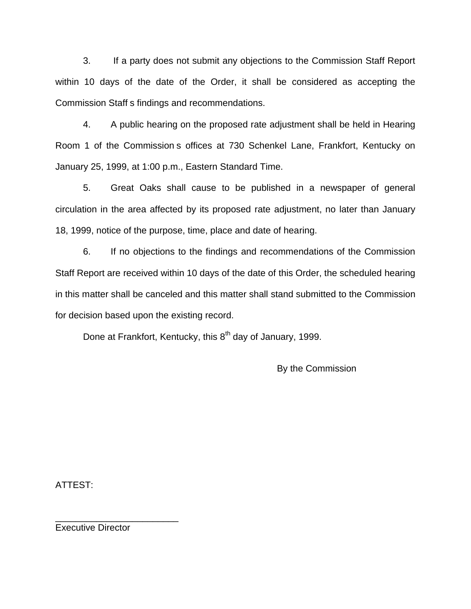3. If a party does not submit any objections to the Commission Staff Report within 10 days of the date of the Order, it shall be considered as accepting the Commission Staff s findings and recommendations.

4. A public hearing on the proposed rate adjustment shall be held in Hearing Room 1 of the Commission s offices at 730 Schenkel Lane, Frankfort, Kentucky on January 25, 1999, at 1:00 p.m., Eastern Standard Time.

5. Great Oaks shall cause to be published in a newspaper of general circulation in the area affected by its proposed rate adjustment, no later than January 18, 1999, notice of the purpose, time, place and date of hearing.

6. If no objections to the findings and recommendations of the Commission Staff Report are received within 10 days of the date of this Order, the scheduled hearing in this matter shall be canceled and this matter shall stand submitted to the Commission for decision based upon the existing record.

Done at Frankfort, Kentucky, this 8<sup>th</sup> day of January, 1999.

By the Commission

ATTEST:

Executive Director

\_\_\_\_\_\_\_\_\_\_\_\_\_\_\_\_\_\_\_\_\_\_\_\_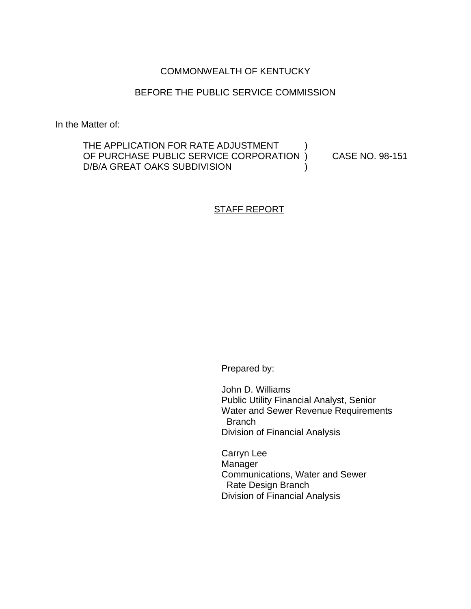# COMMONWEALTH OF KENTUCKY

## BEFORE THE PUBLIC SERVICE COMMISSION

In the Matter of:

THE APPLICATION FOR RATE ADJUSTMENT OF PURCHASE PUBLIC SERVICE CORPORATION ) CASE NO. 98-151 D/B/A GREAT OAKS SUBDIVISION (1)

## STAFF REPORT

Prepared by:

John D. Williams Public Utility Financial Analyst, Senior Water and Sewer Revenue Requirements Branch Division of Financial Analysis

Carryn Lee **Manager** Communications, Water and Sewer Rate Design Branch Division of Financial Analysis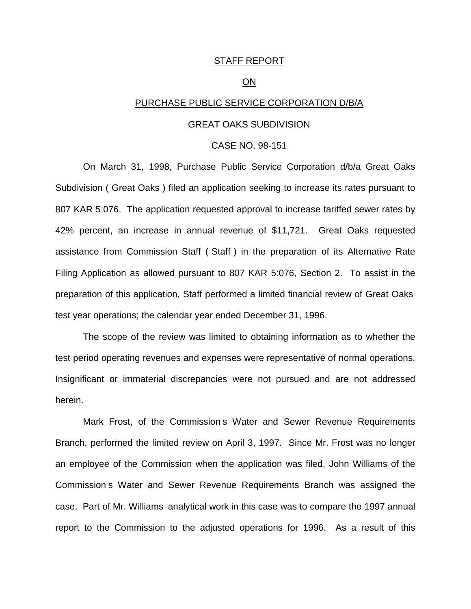#### STAFF REPORT

#### ON

### PURCHASE PUBLIC SERVICE CORPORATION D/B/A

#### GREAT OAKS SUBDIVISION

#### CASE NO. 98-151

On March 31, 1998, Purchase Public Service Corporation d/b/a Great Oaks Subdivision ( Great Oaks ) filed an application seeking to increase its rates pursuant to 807 KAR 5:076. The application requested approval to increase tariffed sewer rates by 42% percent, an increase in annual revenue of \$11,721. Great Oaks requested assistance from Commission Staff ( Staff ) in the preparation of its Alternative Rate Filing Application as allowed pursuant to 807 KAR 5:076, Section 2. To assist in the preparation of this application, Staff performed a limited financial review of Great Oaks test year operations; the calendar year ended December 31, 1996.

The scope of the review was limited to obtaining information as to whether the test period operating revenues and expenses were representative of normal operations. Insignificant or immaterial discrepancies were not pursued and are not addressed herein.

Mark Frost, of the Commission s Water and Sewer Revenue Requirements Branch, performed the limited review on April 3, 1997. Since Mr. Frost was no longer an employee of the Commission when the application was filed, John Williams of the Commission s Water and Sewer Revenue Requirements Branch was assigned the case. Part of Mr. Williams analytical work in this case was to compare the 1997 annual report to the Commission to the adjusted operations for 1996. As a result of this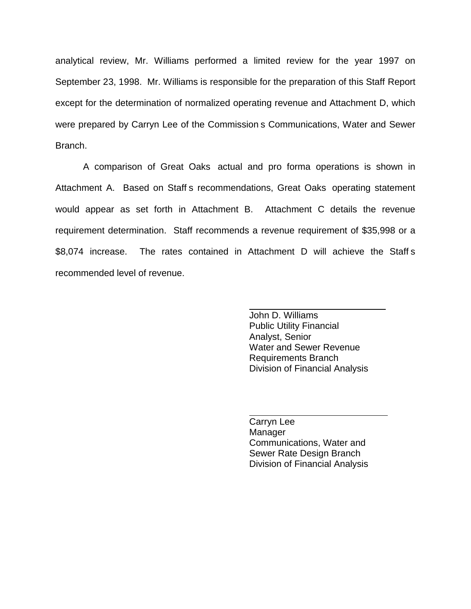analytical review, Mr. Williams performed a limited review for the year 1997 on September 23, 1998. Mr. Williams is responsible for the preparation of this Staff Report except for the determination of normalized operating revenue and Attachment D, which were prepared by Carryn Lee of the Commission s Communications, Water and Sewer Branch.

A comparison of Great Oaks actual and pro forma operations is shown in Attachment A. Based on Staff s recommendations, Great Oaks operating statement would appear as set forth in Attachment B. Attachment C details the revenue requirement determination. Staff recommends a revenue requirement of \$35,998 or a \$8,074 increase. The rates contained in Attachment D will achieve the Staff s recommended level of revenue.

> John D. Williams Public Utility Financial Analyst, Senior Water and Sewer Revenue Requirements Branch Division of Financial Analysis

 $\frac{1}{2}$ 

Carryn Lee **Manager** Communications, Water and Sewer Rate Design Branch Division of Financial Analysis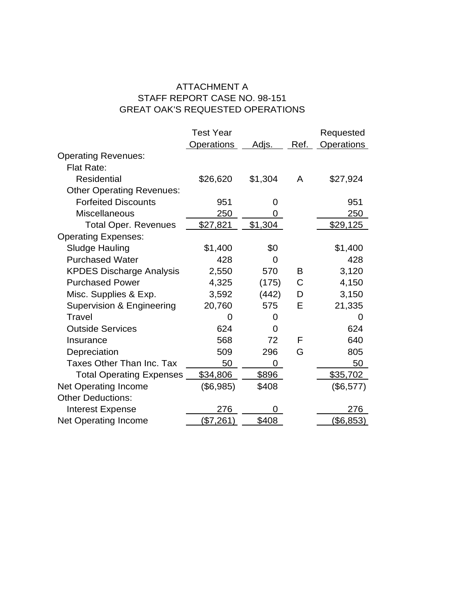# ATTACHMENT A STAFF REPORT CASE NO. 98-151 GREAT OAK'S REQUESTED OPERATIONS

|                                  | <b>Test Year</b>  |         |      | Requested         |
|----------------------------------|-------------------|---------|------|-------------------|
|                                  | <b>Operations</b> | Adjs.   | Ref. | <b>Operations</b> |
| <b>Operating Revenues:</b>       |                   |         |      |                   |
| Flat Rate:                       |                   |         |      |                   |
| <b>Residential</b>               | \$26,620          | \$1,304 | A    | \$27,924          |
| <b>Other Operating Revenues:</b> |                   |         |      |                   |
| <b>Forfeited Discounts</b>       | 951               | O       |      | 951               |
| <b>Miscellaneous</b>             | 250               | 0       |      | <u>250</u>        |
| <b>Total Oper. Revenues</b>      | \$27,821          | \$1,304 |      | \$29,125          |
| <b>Operating Expenses:</b>       |                   |         |      |                   |
| <b>Sludge Hauling</b>            | \$1,400           | \$0     |      | \$1,400           |
| <b>Purchased Water</b>           | 428               | 0       |      | 428               |
| <b>KPDES Discharge Analysis</b>  | 2,550             | 570     | в    | 3,120             |
| <b>Purchased Power</b>           | 4,325             | (175)   | С    | 4,150             |
| Misc. Supplies & Exp.            | 3,592             | (442)   | D    | 3,150             |
| Supervision & Engineering        | 20,760            | 575     | Е    | 21,335            |
| Travel                           | O                 | 0       |      | 0                 |
| <b>Outside Services</b>          | 624               | 0       |      | 624               |
| Insurance                        | 568               | 72      | F    | 640               |
| Depreciation                     | 509               | 296     | G    | 805               |
| <b>Taxes Other Than Inc. Tax</b> | 50                | 0       |      | 50                |
| <b>Total Operating Expenses</b>  | \$34,806          | \$896   |      | \$35,702          |
| Net Operating Income             | (\$6,985)         | \$408   |      | (\$6,577)         |
| <b>Other Deductions:</b>         |                   |         |      |                   |
| <b>Interest Expense</b>          | 276               |         |      | 276               |
| <b>Net Operating Income</b>      | (\$7,261)         | \$408   |      | (\$6,853)         |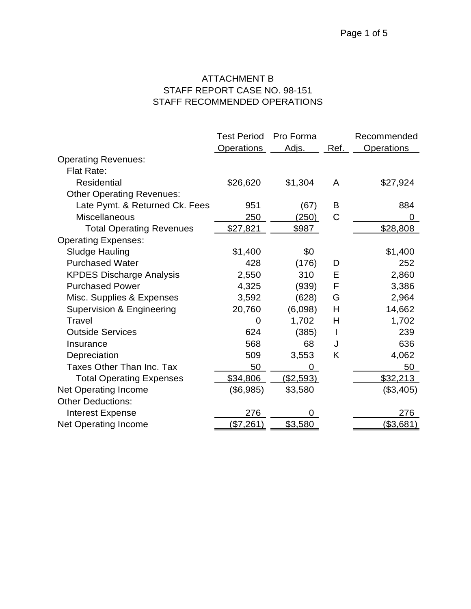# ATTACHMENT B STAFF REPORT CASE NO. 98-151 STAFF RECOMMENDED OPERATIONS

|                                  | <b>Test Period</b> | Pro Forma        |      | Recommended |
|----------------------------------|--------------------|------------------|------|-------------|
|                                  | <b>Operations</b>  | Adjs.            | Ref. | Operations  |
| <b>Operating Revenues:</b>       |                    |                  |      |             |
| Flat Rate:                       |                    |                  |      |             |
| <b>Residential</b>               | \$26,620           | \$1,304          | A    | \$27,924    |
| <b>Other Operating Revenues:</b> |                    |                  |      |             |
| Late Pymt. & Returned Ck. Fees   | 951                | (67)             | B    | 884         |
| <b>Miscellaneous</b>             | 250                | (250)            | C    | 0           |
| <b>Total Operating Revenues</b>  | \$27,821           | \$987            |      | \$28,808    |
| <b>Operating Expenses:</b>       |                    |                  |      |             |
| <b>Sludge Hauling</b>            | \$1,400            | \$0              |      | \$1,400     |
| <b>Purchased Water</b>           | 428                | (176)            | D    | 252         |
| <b>KPDES Discharge Analysis</b>  | 2,550              | 310              | E    | 2,860       |
| <b>Purchased Power</b>           | 4,325              | (939)            | F    | 3,386       |
| Misc. Supplies & Expenses        | 3,592              | (628)            | G    | 2,964       |
| Supervision & Engineering        | 20,760             | (6,098)          | H    | 14,662      |
| Travel                           | 0                  | 1,702            | H    | 1,702       |
| <b>Outside Services</b>          | 624                | (385)            | I    | 239         |
| Insurance                        | 568                | 68               | J    | 636         |
| Depreciation                     | 509                | 3,553            | K    | 4,062       |
| Taxes Other Than Inc. Tax        | 50                 | 0                |      | 50          |
| <b>Total Operating Expenses</b>  | \$34,806           | <u>(\$2,593)</u> |      | \$32,213    |
| <b>Net Operating Income</b>      | (\$6,985)          | \$3,580          |      | (\$3,405)   |
| <b>Other Deductions:</b>         |                    |                  |      |             |
| <b>Interest Expense</b>          | 276                |                  |      | 276         |
| Net Operating Income             | (\$7,261)          | \$3,580          |      | (\$3,681)   |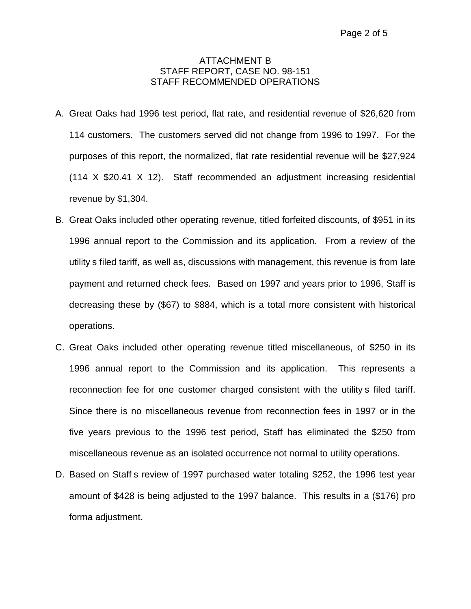## ATTACHMENT B STAFF REPORT, CASE NO. 98-151 STAFF RECOMMENDED OPERATIONS

- A. Great Oaks had 1996 test period, flat rate, and residential revenue of \$26,620 from 114 customers. The customers served did not change from 1996 to 1997. For the purposes of this report, the normalized, flat rate residential revenue will be \$27,924 (114 X \$20.41 X 12). Staff recommended an adjustment increasing residential revenue by \$1,304.
- B. Great Oaks included other operating revenue, titled forfeited discounts, of \$951 in its 1996 annual report to the Commission and its application. From a review of the utility s filed tariff, as well as, discussions with management, this revenue is from late payment and returned check fees. Based on 1997 and years prior to 1996, Staff is decreasing these by (\$67) to \$884, which is a total more consistent with historical operations.
- C. Great Oaks included other operating revenue titled miscellaneous, of \$250 in its 1996 annual report to the Commission and its application. This represents a reconnection fee for one customer charged consistent with the utility s filed tariff. Since there is no miscellaneous revenue from reconnection fees in 1997 or in the five years previous to the 1996 test period, Staff has eliminated the \$250 from miscellaneous revenue as an isolated occurrence not normal to utility operations.
- D. Based on Staff s review of 1997 purchased water totaling \$252, the 1996 test year amount of \$428 is being adjusted to the 1997 balance. This results in a (\$176) pro forma adjustment.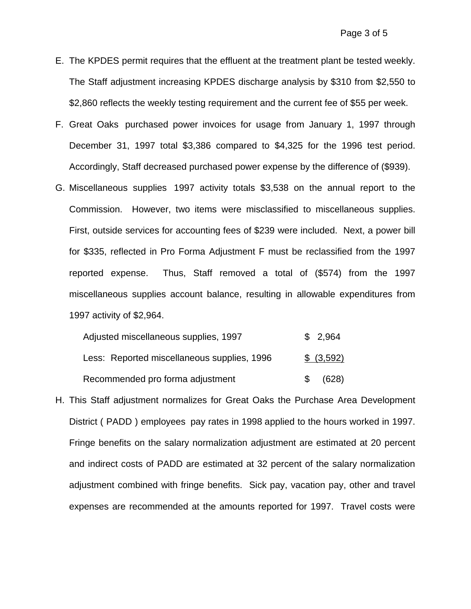- E. The KPDES permit requires that the effluent at the treatment plant be tested weekly. The Staff adjustment increasing KPDES discharge analysis by \$310 from \$2,550 to \$2,860 reflects the weekly testing requirement and the current fee of \$55 per week.
- F. Great Oaks purchased power invoices for usage from January 1, 1997 through December 31, 1997 total \$3,386 compared to \$4,325 for the 1996 test period. Accordingly, Staff decreased purchased power expense by the difference of (\$939).
- G. Miscellaneous supplies 1997 activity totals \$3,538 on the annual report to the Commission. However, two items were misclassified to miscellaneous supplies. First, outside services for accounting fees of \$239 were included. Next, a power bill for \$335, reflected in Pro Forma Adjustment F must be reclassified from the 1997 reported expense. Thus, Staff removed a total of (\$574) from the 1997 miscellaneous supplies account balance, resulting in allowable expenditures from 1997 activity of \$2,964.

| Adjusted miscellaneous supplies, 1997       |    | \$2,964    |
|---------------------------------------------|----|------------|
| Less: Reported miscellaneous supplies, 1996 |    | \$ (3,592) |
| Recommended pro forma adjustment            | S. | (628)      |

H. This Staff adjustment normalizes for Great Oaks the Purchase Area Development District ( PADD ) employees pay rates in 1998 applied to the hours worked in 1997. Fringe benefits on the salary normalization adjustment are estimated at 20 percent and indirect costs of PADD are estimated at 32 percent of the salary normalization adjustment combined with fringe benefits. Sick pay, vacation pay, other and travel expenses are recommended at the amounts reported for 1997. Travel costs were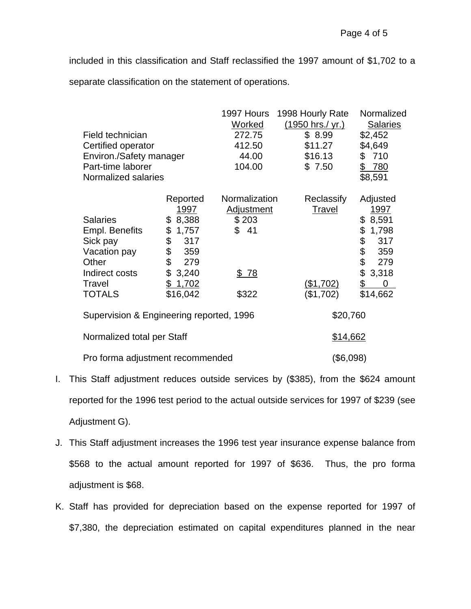included in this classification and Staff reclassified the 1997 amount of \$1,702 to a separate classification on the statement of operations.

|                                          |             | 1997 Hours        | 1998 Hourly Rate        | Normalized                   |
|------------------------------------------|-------------|-------------------|-------------------------|------------------------------|
|                                          |             | <u>Worked</u>     | <u>(1950 hrs./ yr.)</u> | <b>Salaries</b>              |
| Field technician                         |             | 272.75            | \$8.99                  | \$2,452                      |
| Certified operator                       |             | 412.50            | \$11.27                 | \$4,649                      |
| Environ./Safety manager                  |             | 44.00             | \$16.13                 | \$710                        |
| Part-time laborer                        |             | 104.00            | \$7.50                  | \$ 780                       |
| Normalized salaries                      |             |                   |                         | \$8,591                      |
|                                          | Reported    | Normalization     | Reclassify              | Adjusted                     |
|                                          | <u>1997</u> | <b>Adjustment</b> | <b>Travel</b>           | <u>1997</u>                  |
| <b>Salaries</b>                          | \$8,388     | \$203             |                         | \$8,591                      |
| Empl. Benefits                           | \$<br>1,757 | \$41              |                         | \$<br>1,798                  |
| Sick pay                                 | \$<br>317   |                   |                         | \$<br>317                    |
| Vacation pay                             | \$<br>359   |                   |                         | \$<br>359                    |
| Other                                    | \$<br>279   |                   |                         | \$<br>279                    |
| Indirect costs                           | \$<br>3,240 | \$78              |                         | \$<br>3,318                  |
| Travel                                   | \$1,702     |                   | (\$1,702)               | $\frac{1}{2}$<br>$\mathbf 0$ |
| <b>TOTALS</b>                            | \$16,042    | \$322             | (\$1,702)               | \$14,662                     |
| Supervision & Engineering reported, 1996 |             | \$20,760          |                         |                              |
| Normalized total per Staff               |             |                   | \$14,662                |                              |
| Pro forma adjustment recommended         |             |                   | (\$6,098)               |                              |

- I. This Staff adjustment reduces outside services by (\$385), from the \$624 amount reported for the 1996 test period to the actual outside services for 1997 of \$239 (see Adjustment G).
- J. This Staff adjustment increases the 1996 test year insurance expense balance from \$568 to the actual amount reported for 1997 of \$636. Thus, the pro forma adjustment is \$68.
- K. Staff has provided for depreciation based on the expense reported for 1997 of \$7,380, the depreciation estimated on capital expenditures planned in the near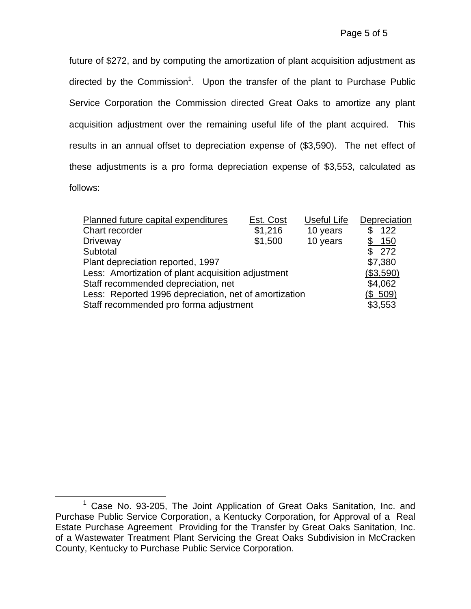future of \$272, and by computing the amortization of plant acquisition adjustment as directed by the Commission<sup>1</sup>. Upon the transfer of the plant to Purchase Public Service Corporation the Commission directed Great Oaks to amortize any plant acquisition adjustment over the remaining useful life of the plant acquired. This results in an annual offset to depreciation expense of (\$3,590). The net effect of these adjustments is a pro forma depreciation expense of \$3,553, calculated as follows:

| Planned future capital expenditures                   | Est. Cost | Useful Life | Depreciation |
|-------------------------------------------------------|-----------|-------------|--------------|
| Chart recorder                                        | \$1,216   | 10 years    | 122<br>\$    |
| <b>Driveway</b>                                       | \$1,500   | 10 years    | \$150        |
| Subtotal                                              |           |             | \$272        |
| Plant depreciation reported, 1997                     |           |             | \$7,380      |
| Less: Amortization of plant acquisition adjustment    |           |             | (\$3,590)    |
| Staff recommended depreciation, net                   |           |             | \$4,062      |
| Less: Reported 1996 depreciation, net of amortization |           |             | (\$509)      |
| Staff recommended pro forma adjustment                |           |             | \$3,553      |

<sup>&</sup>lt;sup>1</sup> Case No. 93-205, The Joint Application of Great Oaks Sanitation, Inc. and Purchase Public Service Corporation, a Kentucky Corporation, for Approval of a Real Estate Purchase Agreement Providing for the Transfer by Great Oaks Sanitation, Inc. of a Wastewater Treatment Plant Servicing the Great Oaks Subdivision in McCracken County, Kentucky to Purchase Public Service Corporation.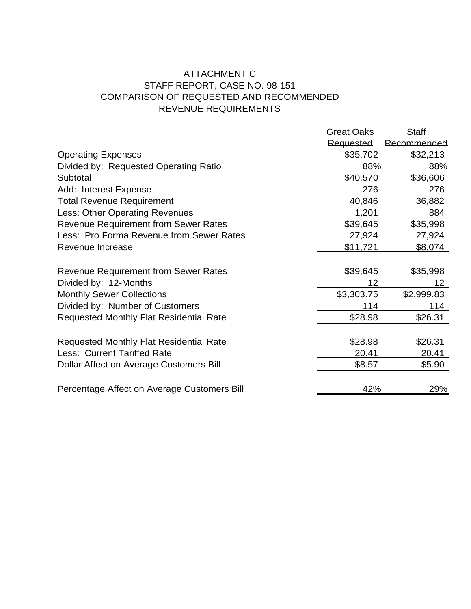# ATTACHMENT C STAFF REPORT, CASE NO. 98-151 COMPARISON OF REQUESTED AND RECOMMENDED REVENUE REQUIREMENTS

|                                                | <b>Great Oaks</b> | <b>Staff</b>    |
|------------------------------------------------|-------------------|-----------------|
|                                                | Requested         | Recommended     |
| <b>Operating Expenses</b>                      | \$35,702          | \$32,213        |
| Divided by: Requested Operating Ratio          | 88%               | 88%             |
| Subtotal                                       | \$40,570          | \$36,606        |
| Add: Interest Expense                          | 276               | 276             |
| <b>Total Revenue Requirement</b>               | 40,846            | 36,882          |
| Less: Other Operating Revenues                 | 1,201             | 884             |
| <b>Revenue Requirement from Sewer Rates</b>    | \$39,645          | \$35,998        |
| Less: Pro Forma Revenue from Sewer Rates       | 27,924            | 27,924          |
| Revenue Increase                               | <u>\$11,721</u>   | \$8,074         |
|                                                |                   |                 |
| <b>Revenue Requirement from Sewer Rates</b>    | \$39,645          | \$35,998        |
| Divided by: 12-Months                          | 12                | 12 <sub>2</sub> |
| <b>Monthly Sewer Collections</b>               | \$3,303.75        | \$2,999.83      |
| Divided by: Number of Customers                | 114               | 114             |
| <b>Requested Monthly Flat Residential Rate</b> | <u>\$28.98</u>    | \$26.31         |
|                                                |                   |                 |
| <b>Requested Monthly Flat Residential Rate</b> | \$28.98           | \$26.31         |
| <b>Less: Current Tariffed Rate</b>             | 20.41             | 20.41           |
| Dollar Affect on Average Customers Bill        | \$8.57            | \$5.90          |
|                                                |                   |                 |
| Percentage Affect on Average Customers Bill    | 42%               | 29%             |
|                                                |                   |                 |